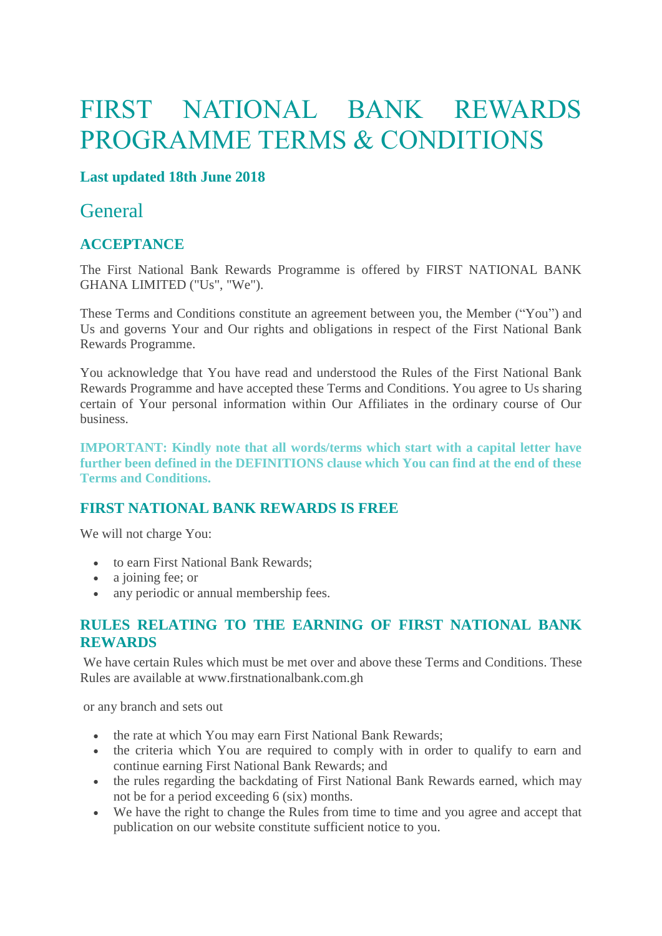# FIRST NATIONAL BANK REWARDS PROGRAMME TERMS & CONDITIONS

#### **Last updated 18th June 2018**

### **General**

#### **ACCEPTANCE**

The First National Bank Rewards Programme is offered by FIRST NATIONAL BANK GHANA LIMITED ("Us", "We").

These Terms and Conditions constitute an agreement between you, the Member ("You") and Us and governs Your and Our rights and obligations in respect of the First National Bank Rewards Programme.

You acknowledge that You have read and understood the Rules of the First National Bank Rewards Programme and have accepted these Terms and Conditions. You agree to Us sharing certain of Your personal information within Our Affiliates in the ordinary course of Our business.

**IMPORTANT: Kindly note that all words/terms which start with a capital letter have further been defined in the DEFINITIONS clause which You can find at the end of these Terms and Conditions.**

#### **FIRST NATIONAL BANK REWARDS IS FREE**

We will not charge You:

- to earn First National Bank Rewards;
- a joining fee; or
- any periodic or annual membership fees.

#### **RULES RELATING TO THE EARNING OF FIRST NATIONAL BANK REWARDS**

We have certain Rules which must be met over and above these Terms and Conditions. These Rules are available at www.firstnationalbank.com.gh

or any branch and sets out

- the rate at which You may earn First National Bank Rewards;
- the criteria which You are required to comply with in order to qualify to earn and continue earning First National Bank Rewards; and
- the rules regarding the backdating of First National Bank Rewards earned, which may not be for a period exceeding 6 (six) months.
- We have the right to change the Rules from time to time and you agree and accept that publication on our website constitute sufficient notice to you.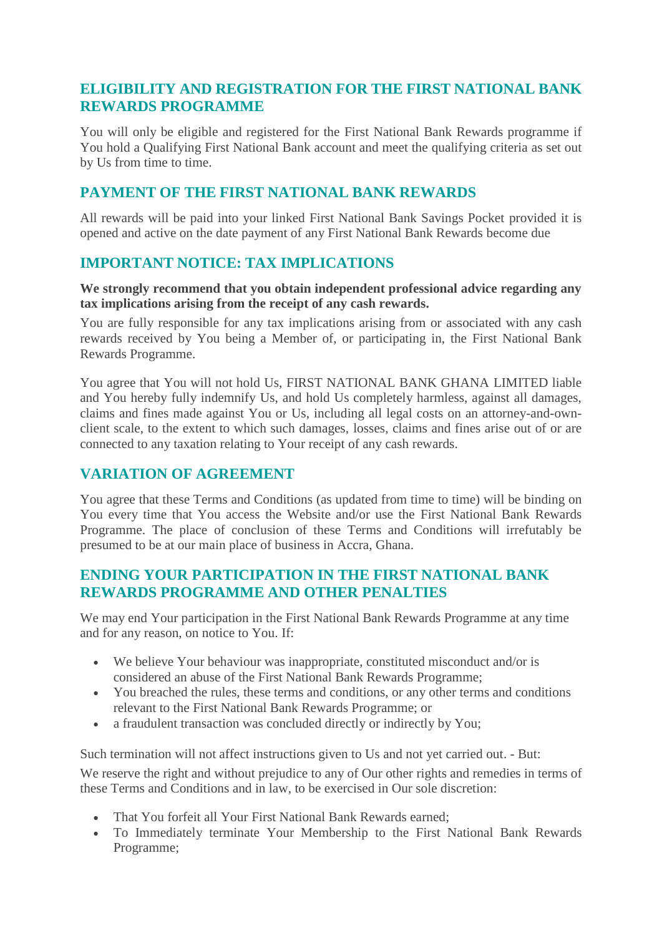#### **ELIGIBILITY AND REGISTRATION FOR THE FIRST NATIONAL BANK REWARDS PROGRAMME**

You will only be eligible and registered for the First National Bank Rewards programme if You hold a Qualifying First National Bank account and meet the qualifying criteria as set out by Us from time to time.

#### **PAYMENT OF THE FIRST NATIONAL BANK REWARDS**

All rewards will be paid into your linked First National Bank Savings Pocket provided it is opened and active on the date payment of any First National Bank Rewards become due

#### **IMPORTANT NOTICE: TAX IMPLICATIONS**

#### **We strongly recommend that you obtain independent professional advice regarding any tax implications arising from the receipt of any cash rewards.**

You are fully responsible for any tax implications arising from or associated with any cash rewards received by You being a Member of, or participating in, the First National Bank Rewards Programme.

You agree that You will not hold Us, FIRST NATIONAL BANK GHANA LIMITED liable and You hereby fully indemnify Us, and hold Us completely harmless, against all damages, claims and fines made against You or Us, including all legal costs on an attorney-and-ownclient scale, to the extent to which such damages, losses, claims and fines arise out of or are connected to any taxation relating to Your receipt of any cash rewards.

#### **VARIATION OF AGREEMENT**

You agree that these Terms and Conditions (as updated from time to time) will be binding on You every time that You access the Website and/or use the First National Bank Rewards Programme. The place of conclusion of these Terms and Conditions will irrefutably be presumed to be at our main place of business in Accra, Ghana.

#### **ENDING YOUR PARTICIPATION IN THE FIRST NATIONAL BANK REWARDS PROGRAMME AND OTHER PENALTIES**

We may end Your participation in the First National Bank Rewards Programme at any time and for any reason, on notice to You. If:

- We believe Your behaviour was inappropriate, constituted misconduct and/or is considered an abuse of the First National Bank Rewards Programme;
- You breached the rules, these terms and conditions, or any other terms and conditions relevant to the First National Bank Rewards Programme; or
- a fraudulent transaction was concluded directly or indirectly by You;

Such termination will not affect instructions given to Us and not yet carried out. - But:

We reserve the right and without prejudice to any of Our other rights and remedies in terms of these Terms and Conditions and in law, to be exercised in Our sole discretion:

- That You forfeit all Your First National Bank Rewards earned;
- To Immediately terminate Your Membership to the First National Bank Rewards Programme;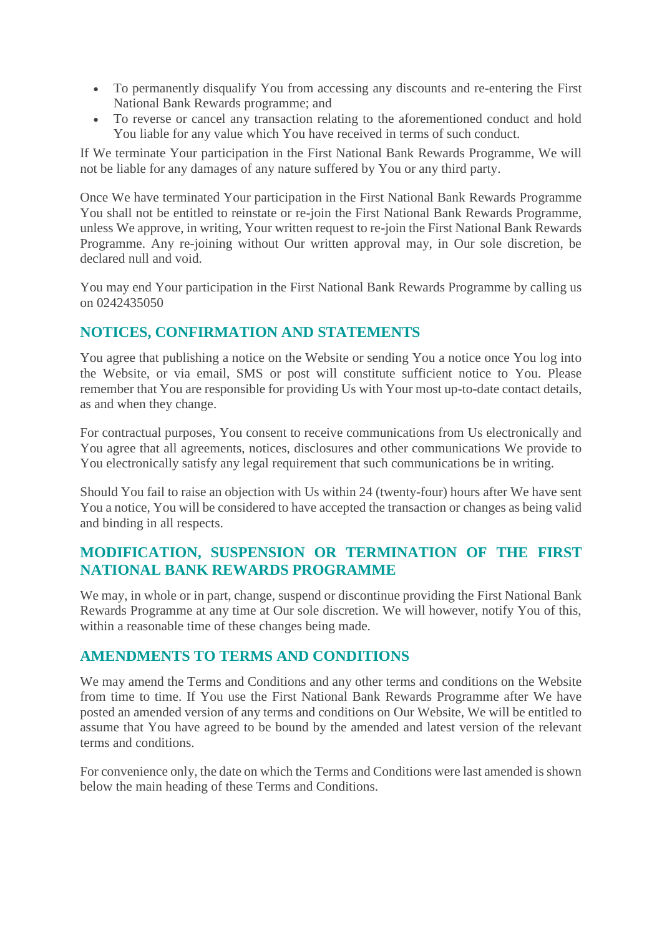- To permanently disqualify You from accessing any discounts and re-entering the First National Bank Rewards programme; and
- To reverse or cancel any transaction relating to the aforementioned conduct and hold You liable for any value which You have received in terms of such conduct.

If We terminate Your participation in the First National Bank Rewards Programme, We will not be liable for any damages of any nature suffered by You or any third party.

Once We have terminated Your participation in the First National Bank Rewards Programme You shall not be entitled to reinstate or re-join the First National Bank Rewards Programme, unless We approve, in writing, Your written request to re-join the First National Bank Rewards Programme. Any re-joining without Our written approval may, in Our sole discretion, be declared null and void.

You may end Your participation in the First National Bank Rewards Programme by calling us on 0242435050

#### **NOTICES, CONFIRMATION AND STATEMENTS**

You agree that publishing a notice on the Website or sending You a notice once You log into the Website, or via email, SMS or post will constitute sufficient notice to You. Please remember that You are responsible for providing Us with Your most up-to-date contact details, as and when they change.

For contractual purposes, You consent to receive communications from Us electronically and You agree that all agreements, notices, disclosures and other communications We provide to You electronically satisfy any legal requirement that such communications be in writing.

Should You fail to raise an objection with Us within 24 (twenty-four) hours after We have sent You a notice, You will be considered to have accepted the transaction or changes as being valid and binding in all respects.

#### **MODIFICATION, SUSPENSION OR TERMINATION OF THE FIRST NATIONAL BANK REWARDS PROGRAMME**

We may, in whole or in part, change, suspend or discontinue providing the First National Bank Rewards Programme at any time at Our sole discretion. We will however, notify You of this, within a reasonable time of these changes being made.

#### **AMENDMENTS TO TERMS AND CONDITIONS**

We may amend the Terms and Conditions and any other terms and conditions on the Website from time to time. If You use the First National Bank Rewards Programme after We have posted an amended version of any terms and conditions on Our Website, We will be entitled to assume that You have agreed to be bound by the amended and latest version of the relevant terms and conditions.

For convenience only, the date on which the Terms and Conditions were last amended is shown below the main heading of these Terms and Conditions.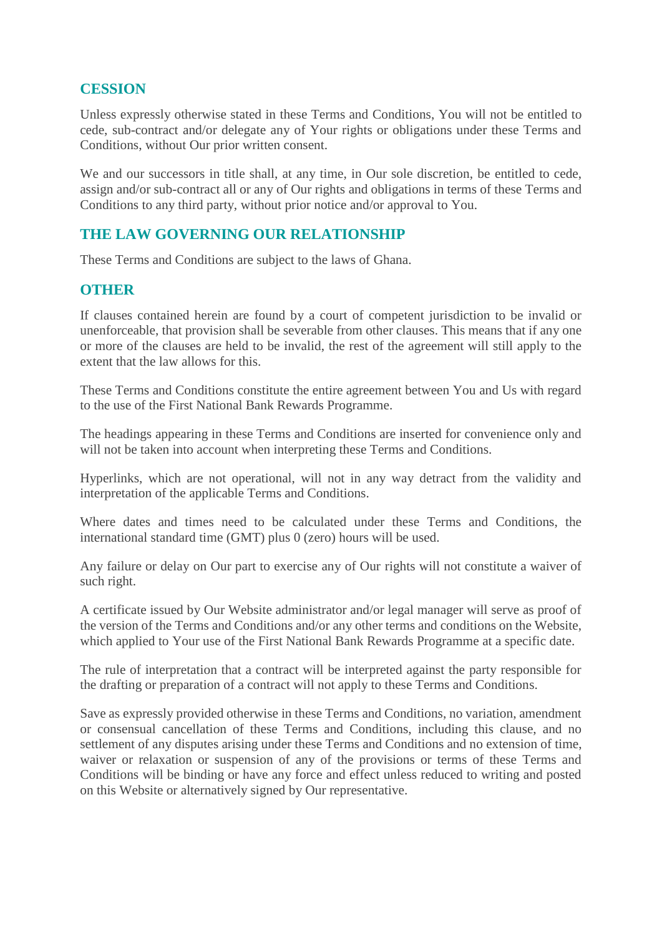#### **CESSION**

Unless expressly otherwise stated in these Terms and Conditions, You will not be entitled to cede, sub-contract and/or delegate any of Your rights or obligations under these Terms and Conditions, without Our prior written consent.

We and our successors in title shall, at any time, in Our sole discretion, be entitled to cede, assign and/or sub-contract all or any of Our rights and obligations in terms of these Terms and Conditions to any third party, without prior notice and/or approval to You.

#### **THE LAW GOVERNING OUR RELATIONSHIP**

These Terms and Conditions are subject to the laws of Ghana.

#### **OTHER**

If clauses contained herein are found by a court of competent jurisdiction to be invalid or unenforceable, that provision shall be severable from other clauses. This means that if any one or more of the clauses are held to be invalid, the rest of the agreement will still apply to the extent that the law allows for this.

These Terms and Conditions constitute the entire agreement between You and Us with regard to the use of the First National Bank Rewards Programme.

The headings appearing in these Terms and Conditions are inserted for convenience only and will not be taken into account when interpreting these Terms and Conditions.

Hyperlinks, which are not operational, will not in any way detract from the validity and interpretation of the applicable Terms and Conditions.

Where dates and times need to be calculated under these Terms and Conditions, the international standard time (GMT) plus 0 (zero) hours will be used.

Any failure or delay on Our part to exercise any of Our rights will not constitute a waiver of such right.

A certificate issued by Our Website administrator and/or legal manager will serve as proof of the version of the Terms and Conditions and/or any other terms and conditions on the Website, which applied to Your use of the First National Bank Rewards Programme at a specific date.

The rule of interpretation that a contract will be interpreted against the party responsible for the drafting or preparation of a contract will not apply to these Terms and Conditions.

Save as expressly provided otherwise in these Terms and Conditions, no variation, amendment or consensual cancellation of these Terms and Conditions, including this clause, and no settlement of any disputes arising under these Terms and Conditions and no extension of time, waiver or relaxation or suspension of any of the provisions or terms of these Terms and Conditions will be binding or have any force and effect unless reduced to writing and posted on this Website or alternatively signed by Our representative.